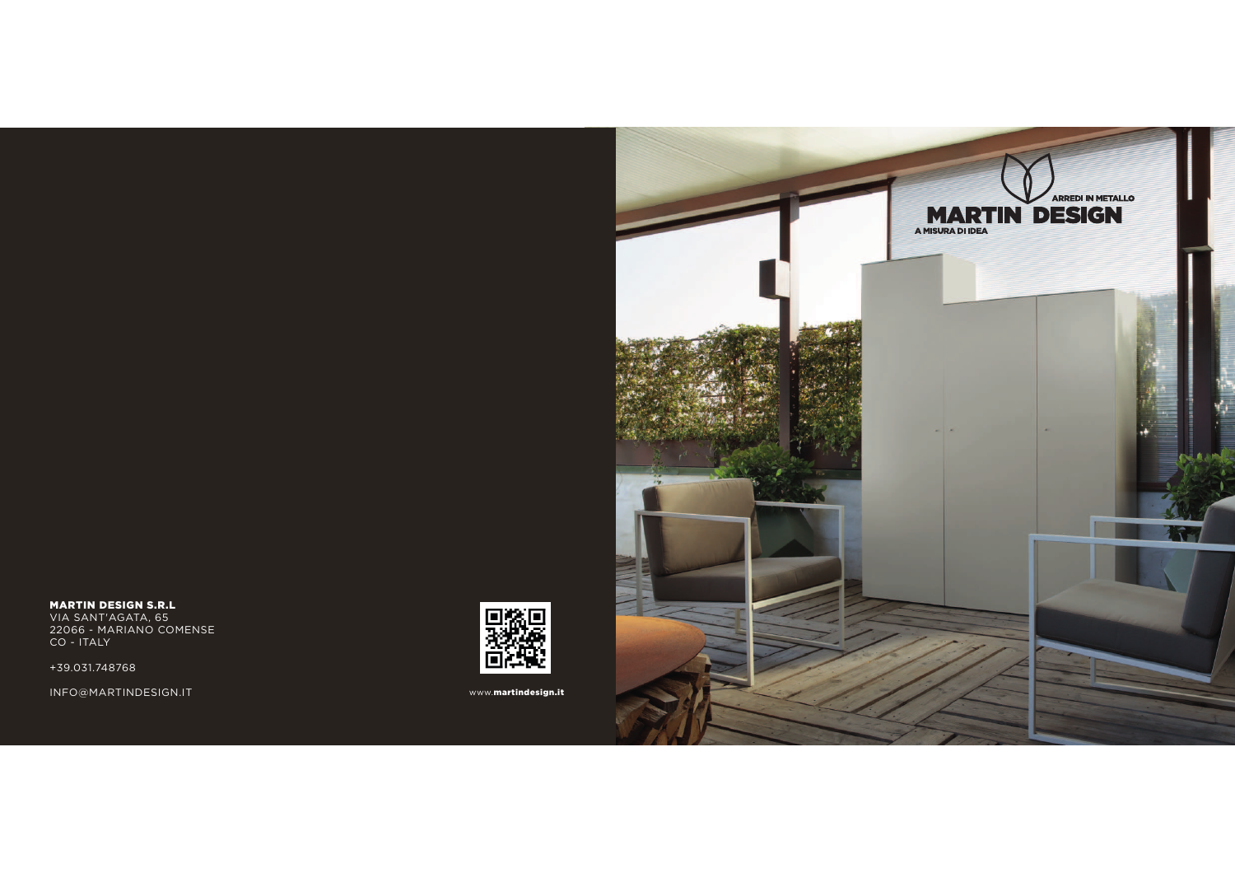

**MARTIN DESIGN S.R.L**<br>VIA SANT'AGATA, 65<br>22066 - MARIANO COMENSE<br>CO - ITALY

+39.031.748768

INFO@MARTINDESIGN.IT



www.martindesign.it